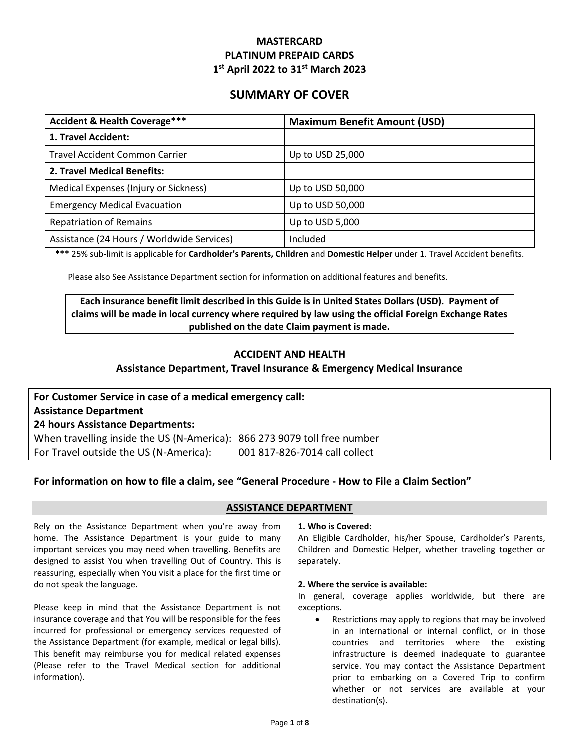# **MASTERCARD PLATINUM PREPAID CARDS 1 st April 2022 to 31st March 2023**

# **SUMMARY OF COVER**

| <b>Accident &amp; Health Coverage***</b>   | <b>Maximum Benefit Amount (USD)</b> |
|--------------------------------------------|-------------------------------------|
| 1. Travel Accident:                        |                                     |
| <b>Travel Accident Common Carrier</b>      | Up to USD 25,000                    |
| 2. Travel Medical Benefits:                |                                     |
| Medical Expenses (Injury or Sickness)      | Up to USD 50,000                    |
| <b>Emergency Medical Evacuation</b>        | Up to USD 50,000                    |
| <b>Repatriation of Remains</b>             | Up to USD 5,000                     |
| Assistance (24 Hours / Worldwide Services) | Included                            |

**\*\*\*** 25% sub-limit is applicable for **Cardholder's Parents, Children** and **Domestic Helper** under 1. Travel Accident benefits.

Please also See Assistance Department section for information on additional features and benefits.

# **Each insurance benefit limit described in this Guide is in United States Dollars (USD). Payment of claims will be made in local currency where required by law using the official Foreign Exchange Rates published on the date Claim payment is made.**

# **ACCIDENT AND HEALTH**

# **Assistance Department, Travel Insurance & Emergency Medical Insurance**

**For Customer Service in case of a medical emergency call: Assistance Department 24 hours Assistance Departments:** When travelling inside the US (N-America): 866 273 9079 toll free number For Travel outside the US (N-America): 001 817-826-7014 call collect

## **For information on how to file a claim, see "General Procedure - How to File a Claim Section"**

## **ASSISTANCE DEPARTMENT**

Rely on the Assistance Department when you're away from home. The Assistance Department is your guide to many important services you may need when travelling. Benefits are designed to assist You when travelling Out of Country. This is reassuring, especially when You visit a place for the first time or do not speak the language.

Please keep in mind that the Assistance Department is not insurance coverage and that You will be responsible for the fees incurred for professional or emergency services requested of the Assistance Department (for example, medical or legal bills). This benefit may reimburse you for medical related expenses (Please refer to the Travel Medical section for additional information).

#### **1. Who is Covered:**

An Eligible Cardholder, his/her Spouse, Cardholder's Parents, Children and Domestic Helper, whether traveling together or separately.

#### **2. Where the service is available:**

In general, coverage applies worldwide, but there are exceptions.

• Restrictions may apply to regions that may be involved in an international or internal conflict, or in those countries and territories where the existing infrastructure is deemed inadequate to guarantee service. You may contact the Assistance Department prior to embarking on a Covered Trip to confirm whether or not services are available at your destination(s).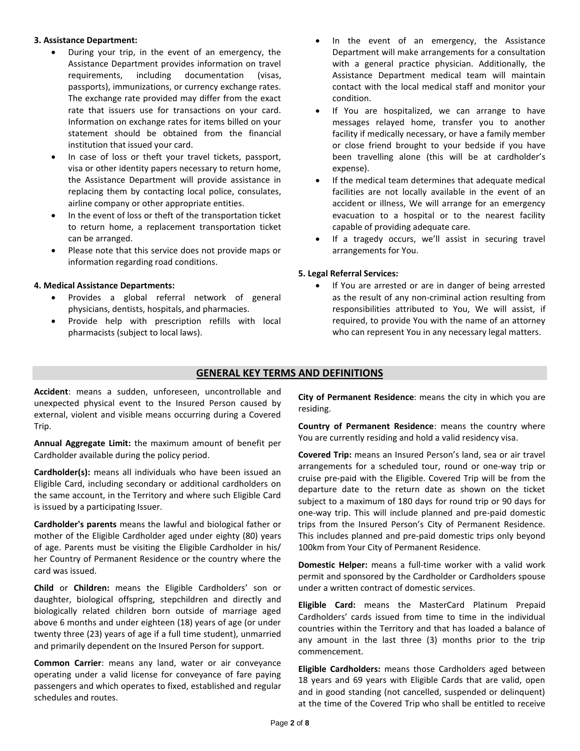## **3. Assistance Department:**

- During your trip, in the event of an emergency, the Assistance Department provides information on travel requirements, including documentation (visas, passports), immunizations, or currency exchange rates. The exchange rate provided may differ from the exact rate that issuers use for transactions on your card. Information on exchange rates for items billed on your statement should be obtained from the financial institution that issued your card.
- In case of loss or theft your travel tickets, passport, visa or other identity papers necessary to return home, the Assistance Department will provide assistance in replacing them by contacting local police, consulates, airline company or other appropriate entities.
- In the event of loss or theft of the transportation ticket to return home, a replacement transportation ticket can be arranged.
- Please note that this service does not provide maps or information regarding road conditions.

## **4. Medical Assistance Departments:**

- Provides a global referral network of general physicians, dentists, hospitals, and pharmacies.
- Provide help with prescription refills with local pharmacists (subject to local laws).
- In the event of an emergency, the Assistance Department will make arrangements for a consultation with a general practice physician. Additionally, the Assistance Department medical team will maintain contact with the local medical staff and monitor your condition.
- If You are hospitalized, we can arrange to have messages relayed home, transfer you to another facility if medically necessary, or have a family member or close friend brought to your bedside if you have been travelling alone (this will be at cardholder's expense).
- If the medical team determines that adequate medical facilities are not locally available in the event of an accident or illness, We will arrange for an emergency evacuation to a hospital or to the nearest facility capable of providing adequate care.
- If a tragedy occurs, we'll assist in securing travel arrangements for You.

## **5. Legal Referral Services:**

If You are arrested or are in danger of being arrested as the result of any non-criminal action resulting from responsibilities attributed to You, We will assist, if required, to provide You with the name of an attorney who can represent You in any necessary legal matters.

# **GENERAL KEY TERMS AND DEFINITIONS**

**Accident**: means a sudden, unforeseen, uncontrollable and unexpected physical event to the Insured Person caused by external, violent and visible means occurring during a Covered Trip.

**Annual Aggregate Limit:** the maximum amount of benefit per Cardholder available during the policy period.

**Cardholder(s):** means all individuals who have been issued an Eligible Card, including secondary or additional cardholders on the same account, in the Territory and where such Eligible Card is issued by a participating Issuer.

**Cardholder's parents** means the lawful and biological father or mother of the Eligible Cardholder aged under eighty (80) years of age. Parents must be visiting the Eligible Cardholder in his/ her Country of Permanent Residence or the country where the card was issued.

**Child** or **Children:** means the Eligible Cardholders' son or daughter, biological offspring, [stepchildren](http://www.nolo.com/definition.cfm/term/7C324D42-B642-4B3B-96E1EA7F083F8C67) and directly and biologically related children born outside of marriage aged above 6 months and under eighteen (18) years of age (or under twenty three (23) years of age if a full time student), unmarried and primarily dependent on the Insured Person for support.

**Common Carrier**: means any land, water or air conveyance operating under a valid license for conveyance of fare paying passengers and which operates to fixed, established and regular schedules and routes.

**City of Permanent Residence**: means the city in which you are residing.

**Country of Permanent Residence**: means the country where You are currently residing and hold a valid residency visa.

**Covered Trip:** means an Insured Person's land, sea or air travel arrangements for a scheduled tour, round or one-way trip or cruise pre-paid with the Eligible. Covered Trip will be from the departure date to the return date as shown on the ticket subject to a maximum of 180 days for round trip or 90 days for one-way trip. This will include planned and pre-paid domestic trips from the Insured Person's City of Permanent Residence. This includes planned and pre-paid domestic trips only beyond 100km from Your City of Permanent Residence.

**Domestic Helper:** means a full-time worker with a valid work permit and sponsored by the Cardholder or Cardholders spouse under a written contract of domestic services.

**Eligible Card:** means the MasterCard Platinum Prepaid Cardholders' cards issued from time to time in the individual countries within the Territory and that has loaded a balance of any amount in the last three (3) months prior to the trip commencement.

**Eligible Cardholders:** means those Cardholders aged between 18 years and 69 years with Eligible Cards that are valid, open and in good standing (not cancelled, suspended or delinquent) at the time of the Covered Trip who shall be entitled to receive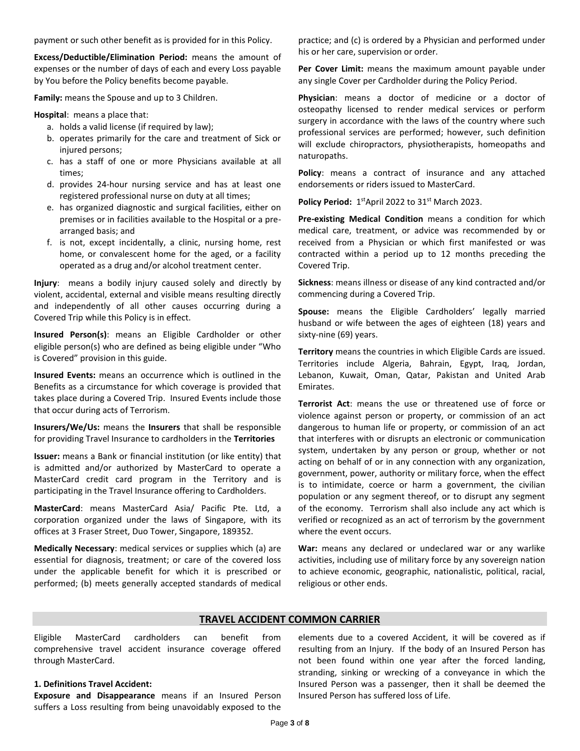payment or such other benefit as is provided for in this Policy.

**Excess/Deductible/Elimination Period:** means the amount of expenses or the number of days of each and every Loss payable by You before the Policy benefits become payable.

**Family:** means the Spouse and up to 3 Children.

**Hospital**: means a place that:

- a. holds a valid license (if required by law);
- b. operates primarily for the care and treatment of Sick or injured persons;
- c. has a staff of one or more Physicians available at all times;
- d. provides 24-hour nursing service and has at least one registered professional nurse on duty at all times;
- e. has organized diagnostic and surgical facilities, either on premises or in facilities available to the Hospital or a prearranged basis; and
- f. is not, except incidentally, a clinic, nursing home, rest home, or convalescent home for the aged, or a facility operated as a drug and/or alcohol treatment center.

**Injury**: means a bodily injury caused solely and directly by violent, accidental, external and visible means resulting directly and independently of all other causes occurring during a Covered Trip while this Policy is in effect.

**Insured Person(s)**: means an Eligible Cardholder or other eligible person(s) who are defined as being eligible under "Who is Covered" provision in this guide.

**Insured Events:** means an occurrence which is outlined in the Benefits as a circumstance for which coverage is provided that takes place during a Covered Trip. Insured Events include those that occur during acts of Terrorism.

**Insurers/We/Us:** means the **Insurers** that shall be responsible for providing Travel Insurance to cardholders in the **Territories**

**Issuer:** means a Bank or financial institution (or like entity) that is admitted and/or authorized by MasterCard to operate a MasterCard credit card program in the Territory and is participating in the Travel Insurance offering to Cardholders.

**MasterCard**: means MasterCard Asia/ Pacific Pte. Ltd, a corporation organized under the laws of Singapore, with its offices at 3 Fraser Street, Duo Tower, Singapore, 189352.

**Medically Necessary**: medical services or supplies which (a) are essential for diagnosis, treatment; or care of the covered loss under the applicable benefit for which it is prescribed or performed; (b) meets generally accepted standards of medical practice; and (c) is ordered by a Physician and performed under his or her care, supervision or order.

**Per Cover Limit:** means the maximum amount payable under any single Cover per Cardholder during the Policy Period.

**Physician**: means a doctor of medicine or a doctor of osteopathy licensed to render medical services or perform surgery in accordance with the laws of the country where such professional services are performed; however, such definition will exclude chiropractors, physiotherapists, homeopaths and naturopaths.

**Policy**: means a contract of insurance and any attached endorsements or riders issued to MasterCard.

Policy Period: 1<sup>st</sup>April 2022 to 31<sup>st</sup> March 2023.

**Pre-existing Medical Condition** means a condition for which medical care, treatment, or advice was recommended by or received from a Physician or which first manifested or was contracted within a period up to 12 months preceding the Covered Trip.

**Sickness**: means illness or disease of any kind contracted and/or commencing during a Covered Trip.

**Spouse:** means the Eligible Cardholders' legally married husband or wife between the ages of eighteen (18) years and sixty-nine (69) years.

**Territory** means the countries in which Eligible Cards are issued. Territories include Algeria, Bahrain, Egypt, Iraq, Jordan, Lebanon, Kuwait, Oman, Qatar, Pakistan and United Arab Emirates.

**Terrorist Act**: means the use or threatened use of force or violence against person or property, or commission of an act dangerous to human life or property, or commission of an act that interferes with or disrupts an electronic or communication system, undertaken by any person or group, whether or not acting on behalf of or in any connection with any organization, government, power, authority or military force, when the effect is to intimidate, coerce or harm a government, the civilian population or any segment thereof, or to disrupt any segment of the economy. Terrorism shall also include any act which is verified or recognized as an act of terrorism by the government where the event occurs.

**War:** means any declared or undeclared war or any warlike activities, including use of military force by any sovereign nation to achieve economic, geographic, nationalistic, political, racial, religious or other ends.

#### **TRAVEL ACCIDENT COMMON CARRIER**

Eligible MasterCard cardholders can benefit from comprehensive travel accident insurance coverage offered through MasterCard.

## **1. Definitions Travel Accident:**

**Exposure and Disappearance** means if an Insured Person suffers a Loss resulting from being unavoidably exposed to the elements due to a covered Accident, it will be covered as if resulting from an Injury. If the body of an Insured Person has not been found within one year after the forced landing, stranding, sinking or wrecking of a conveyance in which the Insured Person was a passenger, then it shall be deemed the Insured Person has suffered loss of Life.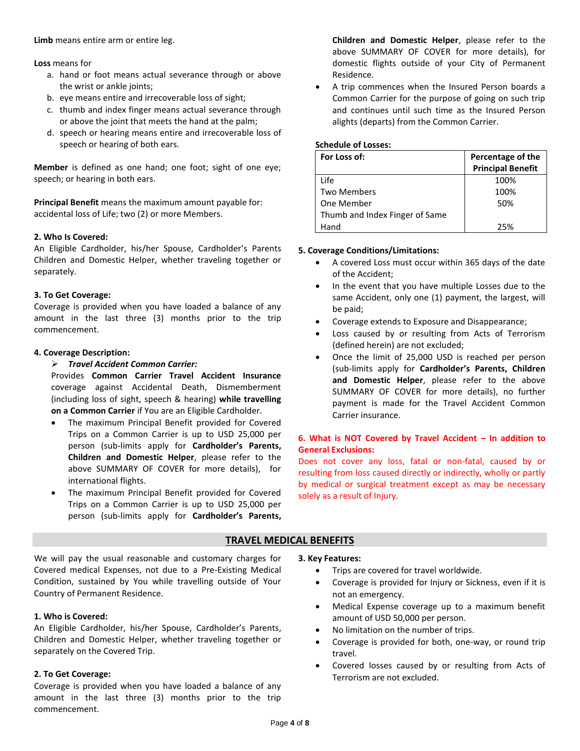**Limb** means entire arm or entire leg.

**Loss** means for

- a. hand or foot means actual severance through or above the wrist or ankle joints;
- b. eye means entire and irrecoverable loss of sight;
- c. thumb and index finger means actual severance through or above the joint that meets the hand at the palm;
- d. speech or hearing means entire and irrecoverable loss of speech or hearing of both ears.

**Member** is defined as one hand; one foot; sight of one eye; speech; or hearing in both ears.

**Principal Benefit** means the maximum amount payable for: accidental loss of Life; two (2) or more Members.

## **2. Who Is Covered:**

An Eligible Cardholder, his/her Spouse, Cardholder's Parents Children and Domestic Helper, whether traveling together or separately.

## **3. To Get Coverage:**

Coverage is provided when you have loaded a balance of any amount in the last three (3) months prior to the trip commencement.

## **4. Coverage Description:**

➢ *Travel Accident Common Carrier:*

Provides **Common Carrier Travel Accident Insurance** coverage against Accidental Death, Dismemberment (including loss of sight, speech & hearing) **while travelling on a Common Carrier** if You are an Eligible Cardholder.

- The maximum Principal Benefit provided for Covered Trips on a Common Carrier is up to USD 25,000 per person (sub-limits apply for **Cardholder's Parents, Children and Domestic Helper**, please refer to the above SUMMARY OF COVER for more details), for international flights.
- The maximum Principal Benefit provided for Covered Trips on a Common Carrier is up to USD 25,000 per person (sub-limits apply for **Cardholder's Parents,**

**Children and Domestic Helper**, please refer to the above SUMMARY OF COVER for more details), for domestic flights outside of your City of Permanent Residence.

• A trip commences when the Insured Person boards a Common Carrier for the purpose of going on such trip and continues until such time as the Insured Person alights (departs) from the Common Carrier.

#### **Schedule of Losses:**

| For Loss of:                   | Percentage of the<br><b>Principal Benefit</b> |
|--------------------------------|-----------------------------------------------|
| Life                           | 100%                                          |
| <b>Two Members</b>             | 100%                                          |
| One Member                     | 50%                                           |
| Thumb and Index Finger of Same |                                               |
| Hand                           | 25%                                           |

## **5. Coverage Conditions/Limitations:**

- A covered Loss must occur within 365 days of the date of the Accident;
- In the event that you have multiple Losses due to the same Accident, only one (1) payment, the largest, will be paid;
- Coverage extends to Exposure and Disappearance;
- Loss caused by or resulting from Acts of Terrorism (defined herein) are not excluded;
- Once the limit of 25,000 USD is reached per person (sub-limits apply for **Cardholder's Parents, Children and Domestic Helper**, please refer to the above SUMMARY OF COVER for more details), no further payment is made for the Travel Accident Common Carrier insurance.

# **6. What is NOT Covered by Travel Accident – In addition to General Exclusions:**

Does not cover any loss, fatal or non-fatal, caused by or resulting from loss caused directly or indirectly, wholly or partly by medical or surgical treatment except as may be necessary solely as a result of Injury.

## **TRAVEL MEDICAL BENEFITS**

We will pay the usual reasonable and customary charges for Covered medical Expenses, not due to a Pre-Existing Medical Condition, sustained by You while travelling outside of Your Country of Permanent Residence.

## **1. Who is Covered:**

An Eligible Cardholder, his/her Spouse, Cardholder's Parents, Children and Domestic Helper, whether traveling together or separately on the Covered Trip.

## **2. To Get Coverage:**

Coverage is provided when you have loaded a balance of any amount in the last three (3) months prior to the trip commencement.

#### **3. Key Features:**

- Trips are covered for travel worldwide.
- Coverage is provided for Injury or Sickness, even if it is not an emergency.
- Medical Expense coverage up to a maximum benefit amount of USD 50,000 per person.
- No limitation on the number of trips.
- Coverage is provided for both, one-way, or round trip travel.
- Covered losses caused by or resulting from Acts of Terrorism are not excluded.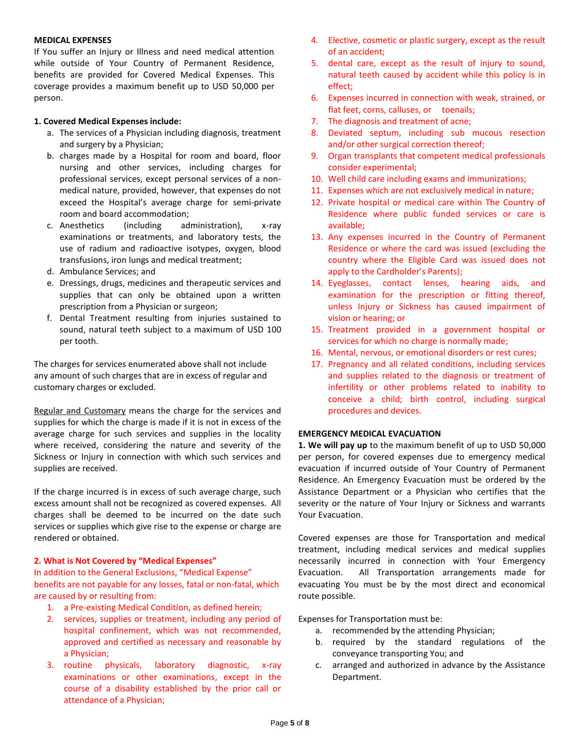#### **MEDICAL EXPENSES**

If You suffer an Injury or Illness and need medical attention while outside of Your Country of Permanent Residence, benefits are provided for Covered Medical Expenses. This coverage provides a maximum benefit up to USD 50,000 per person.

## **1. Covered Medical Expenses include:**

- a. The services of a Physician including diagnosis, treatment and surgery by a Physician;
- b. charges made by a Hospital for room and board, floor nursing and other services, including charges for professional services, except personal services of a nonmedical nature, provided, however, that expenses do not exceed the Hospital's average charge for semi-private room and board accommodation;
- c. Anesthetics (including administration), x-ray examinations or treatments, and laboratory tests, the use of radium and radioactive isotypes, oxygen, blood transfusions, iron lungs and medical treatment;
- d. Ambulance Services; and
- e. Dressings, drugs, medicines and therapeutic services and supplies that can only be obtained upon a written prescription from a Physician or surgeon;
- f. Dental Treatment resulting from injuries sustained to sound, natural teeth subject to a maximum of USD 100 per tooth.

The charges for services enumerated above shall not include any amount of such charges that are in excess of regular and customary charges or excluded.

Regular and Customary means the charge for the services and supplies for which the charge is made if it is not in excess of the average charge for such services and supplies in the locality where received, considering the nature and severity of the Sickness or Injury in connection with which such services and supplies are received.

If the charge incurred is in excess of such average charge, such excess amount shall not be recognized as covered expenses. All charges shall be deemed to be incurred on the date such services or supplies which give rise to the expense or charge are rendered or obtained.

## **2. What is Not Covered by "Medical Expenses"**

In addition to the General Exclusions, "Medical Expense" benefits are not payable for any losses, fatal or non-fatal, which are caused by or resulting from:

- 1. a Pre-existing Medical Condition, as defined herein;
- 2. services, supplies or treatment, including any period of hospital confinement, which was not recommended, approved and certified as necessary and reasonable by a Physician;
- 3. routine physicals, laboratory diagnostic, x-ray examinations or other examinations, except in the course of a disability established by the prior call or attendance of a Physician;
- 4. Elective, cosmetic or plastic surgery, except as the result of an accident;
- 5. dental care, except as the result of injury to sound, natural teeth caused by accident while this policy is in effect;
- 6. Expenses incurred in connection with weak, strained, or flat feet, corns, calluses, or toenails;
- 7. The diagnosis and treatment of acne;
- 8. Deviated septum, including sub mucous resection and/or other surgical correction thereof;
- 9. Organ transplants that competent medical professionals consider experimental;
- 10. Well child care including exams and immunizations;
- 11. Expenses which are not exclusively medical in nature;
- 12. Private hospital or medical care within The Country of Residence where public funded services or care is available;
- 13. Any expenses incurred in the Country of Permanent Residence or where the card was issued (excluding the country where the Eligible Card was issued does not apply to the Cardholder's Parents);
- 14. Eyeglasses, contact lenses, hearing aids, and examination for the prescription or fitting thereof, unless Injury or Sickness has caused impairment of vision or hearing; or
- 15. Treatment provided in a government hospital or services for which no charge is normally made;
- 16. Mental, nervous, or emotional disorders or rest cures;
- 17. Pregnancy and all related conditions, including services and supplies related to the diagnosis or treatment of infertility or other problems related to inability to conceive a child; birth control, including surgical procedures and devices.

#### **EMERGENCY MEDICAL EVACUATION**

**1. We will pay up** to the maximum benefit of up to USD 50,000 per person, for covered expenses due to emergency medical evacuation if incurred outside of Your Country of Permanent Residence. An Emergency Evacuation must be ordered by the Assistance Department or a Physician who certifies that the severity or the nature of Your Injury or Sickness and warrants Your Evacuation.

Covered expenses are those for Transportation and medical treatment, including medical services and medical supplies necessarily incurred in connection with Your Emergency Evacuation. All Transportation arrangements made for evacuating You must be by the most direct and economical route possible.

Expenses for Transportation must be:

- a. recommended by the attending Physician;
- b. required by the standard regulations of the conveyance transporting You; and
- c. arranged and authorized in advance by the Assistance Department.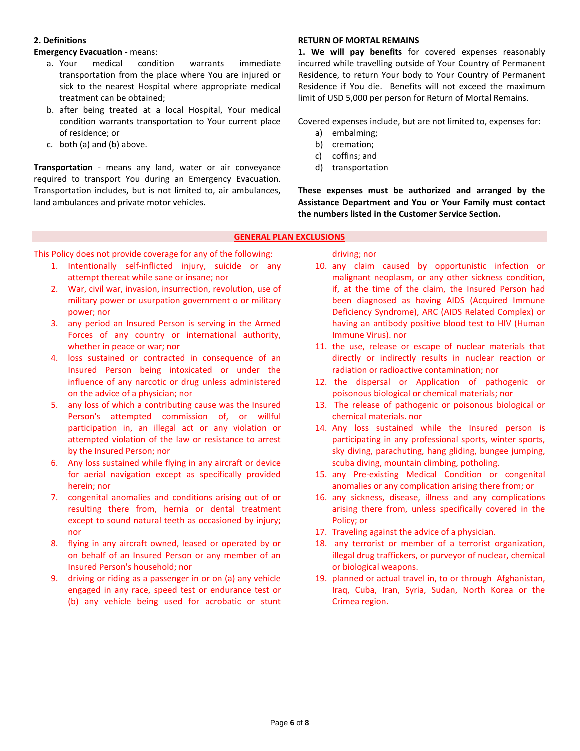## **2. Definitions**

**Emergency Evacuation** - means:

- a. Your medical condition warrants immediate transportation from the place where You are injured or sick to the nearest Hospital where appropriate medical treatment can be obtained;
- b. after being treated at a local Hospital, Your medical condition warrants transportation to Your current place of residence; or
- c. both (a) and (b) above.

**Transportation** - means any land, water or air conveyance required to transport You during an Emergency Evacuation. Transportation includes, but is not limited to, air ambulances, land ambulances and private motor vehicles.

## **RETURN OF MORTAL REMAINS**

**1. We will pay benefits** for covered expenses reasonably incurred while travelling outside of Your Country of Permanent Residence, to return Your body to Your Country of Permanent Residence if You die. Benefits will not exceed the maximum limit of USD 5,000 per person for Return of Mortal Remains.

Covered expenses include, but are not limited to, expenses for:

- a) embalming;
- b) cremation;
- c) coffins; and
- d) transportation

**These expenses must be authorized and arranged by the Assistance Department and You or Your Family must contact the numbers listed in the Customer Service Section.**

## **GENERAL PLAN EXCLUSIONS**

This Policy does not provide coverage for any of the following:

- 1. Intentionally self-inflicted injury, suicide or any attempt thereat while sane or insane; nor
- 2. War, civil war, invasion, insurrection, revolution, use of military power or usurpation government o or military power; nor
- 3. any period an Insured Person is serving in the Armed Forces of any country or international authority, whether in peace or war; nor
- 4. loss sustained or contracted in consequence of an Insured Person being intoxicated or under the influence of any narcotic or drug unless administered on the advice of a physician; nor
- 5. any loss of which a contributing cause was the Insured Person's attempted commission of, or willful participation in, an illegal act or any violation or attempted violation of the law or resistance to arrest by the Insured Person; nor
- 6. Any loss sustained while flying in any aircraft or device for aerial navigation except as specifically provided herein; nor
- 7. congenital anomalies and conditions arising out of or resulting there from, hernia or dental treatment except to sound natural teeth as occasioned by injury; nor
- 8. flying in any aircraft owned, leased or operated by or on behalf of an Insured Person or any member of an Insured Person's household; nor
- 9. driving or riding as a passenger in or on (a) any vehicle engaged in any race, speed test or endurance test or (b) any vehicle being used for acrobatic or stunt

driving; nor

- 10. any claim caused by opportunistic infection or malignant neoplasm, or any other sickness condition, if, at the time of the claim, the Insured Person had been diagnosed as having AIDS (Acquired Immune Deficiency Syndrome), ARC (AIDS Related Complex) or having an antibody positive blood test to HIV (Human Immune Virus). nor
- 11. the use, release or escape of nuclear materials that directly or indirectly results in nuclear reaction or radiation or radioactive contamination; nor
- 12. the dispersal or Application of pathogenic or poisonous biological or chemical materials; nor
- 13. The release of pathogenic or poisonous biological or chemical materials. nor
- 14. Any loss sustained while the Insured person is participating in any professional sports, winter sports, sky diving, parachuting, hang gliding, bungee jumping, scuba diving, mountain climbing, potholing.
- 15. any Pre-existing Medical Condition or congenital anomalies or any complication arising there from; or
- 16. any sickness, disease, illness and any complications arising there from, unless specifically covered in the Policy; or
- 17. Traveling against the advice of a physician.
- 18. any terrorist or member of a terrorist organization, illegal drug traffickers, or purveyor of nuclear, chemical or biological weapons.
- 19. planned or actual travel in, to or through Afghanistan, Iraq, Cuba, Iran, Syria, Sudan, North Korea or the Crimea region.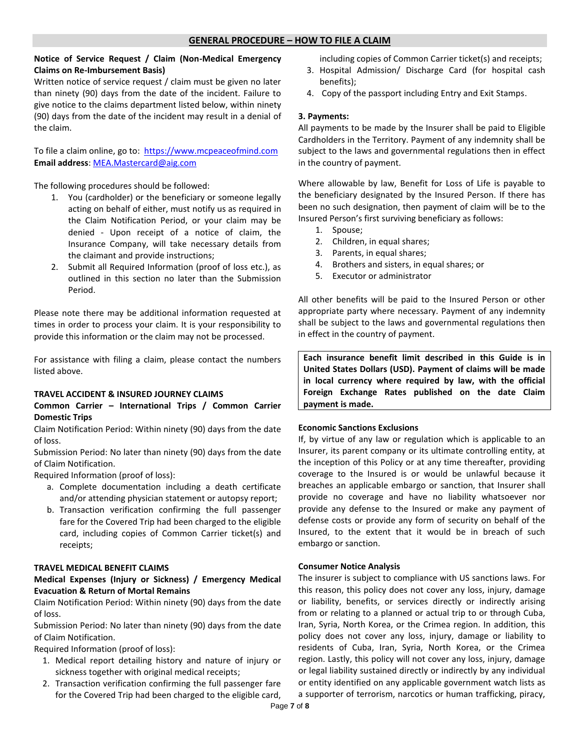## **Notice of Service Request / Claim (Non-Medical Emergency Claims on Re-Imbursement Basis)**

Written notice of service request / claim must be given no later than ninety (90) days from the date of the incident. Failure to give notice to the claims department listed below, within ninety (90) days from the date of the incident may result in a denial of the claim.

To file a claim online, go to: [https://www.mcpeaceofmind.com](https://www.mcpeaceofmind.com/) **Email address**[: MEA.Mastercard@aig.com](mailto:MEA.Mastercard@aig.com)

The following procedures should be followed:

- 1. You (cardholder) or the beneficiary or someone legally acting on behalf of either, must notify us as required in the Claim Notification Period, or your claim may be denied - Upon receipt of a notice of claim, the Insurance Company, will take necessary details from the claimant and provide instructions;
- 2. Submit all Required Information (proof of loss etc.), as outlined in this section no later than the Submission Period.

Please note there may be additional information requested at times in order to process your claim. It is your responsibility to provide this information or the claim may not be processed.

For assistance with filing a claim, please contact the numbers listed above.

## **TRAVEL ACCIDENT & INSURED JOURNEY CLAIMS**

## **Common Carrier – International Trips / Common Carrier Domestic Trips**

Claim Notification Period: Within ninety (90) days from the date of loss.

Submission Period: No later than ninety (90) days from the date of Claim Notification.

Required Information (proof of loss):

- a. Complete documentation including a death certificate and/or attending physician statement or autopsy report;
- b. Transaction verification confirming the full passenger fare for the Covered Trip had been charged to the eligible card, including copies of Common Carrier ticket(s) and receipts;

## **TRAVEL MEDICAL BENEFIT CLAIMS**

## **Medical Expenses (Injury or Sickness) / Emergency Medical Evacuation & Return of Mortal Remains**

Claim Notification Period: Within ninety (90) days from the date of loss.

Submission Period: No later than ninety (90) days from the date of Claim Notification.

Required Information (proof of loss):

- 1. Medical report detailing history and nature of injury or sickness together with original medical receipts;
- 2. Transaction verification confirming the full passenger fare for the Covered Trip had been charged to the eligible card,

including copies of Common Carrier ticket(s) and receipts;

- 3. Hospital Admission/ Discharge Card (for hospital cash benefits);
- 4. Copy of the passport including Entry and Exit Stamps.

# **3. Payments:**

All payments to be made by the Insurer shall be paid to Eligible Cardholders in the Territory. Payment of any indemnity shall be subject to the laws and governmental regulations then in effect in the country of payment.

Where allowable by law, Benefit for Loss of Life is payable to the beneficiary designated by the Insured Person. If there has been no such designation, then payment of claim will be to the Insured Person's first surviving beneficiary as follows:

- 1. Spouse;
- 2. Children, in equal shares;
- 3. Parents, in equal shares;
- 4. Brothers and sisters, in equal shares; or
- 5. Executor or administrator

All other benefits will be paid to the Insured Person or other appropriate party where necessary. Payment of any indemnity shall be subject to the laws and governmental regulations then in effect in the country of payment.

**Each insurance benefit limit described in this Guide is in United States Dollars (USD). Payment of claims will be made in local currency where required by law, with the official Foreign Exchange Rates published on the date Claim payment is made.**

## **Economic Sanctions Exclusions**

If, by virtue of any law or regulation which is applicable to an Insurer, its parent company or its ultimate controlling entity, at the inception of this Policy or at any time thereafter, providing coverage to the Insured is or would be unlawful because it breaches an applicable embargo or sanction, that Insurer shall provide no coverage and have no liability whatsoever nor provide any defense to the Insured or make any payment of defense costs or provide any form of security on behalf of the Insured, to the extent that it would be in breach of such embargo or sanction.

## **Consumer Notice Analysis**

The insurer is subject to compliance with US sanctions laws. For this reason, this policy does not cover any loss, injury, damage or liability, benefits, or services directly or indirectly arising from or relating to a planned or actual trip to or through Cuba, Iran, Syria, North Korea, or the Crimea region. In addition, this policy does not cover any loss, injury, damage or liability to residents of Cuba, Iran, Syria, North Korea, or the Crimea region. Lastly, this policy will not cover any loss, injury, damage or legal liability sustained directly or indirectly by any individual or entity identified on any applicable government watch lists as a supporter of terrorism, narcotics or human trafficking, piracy,